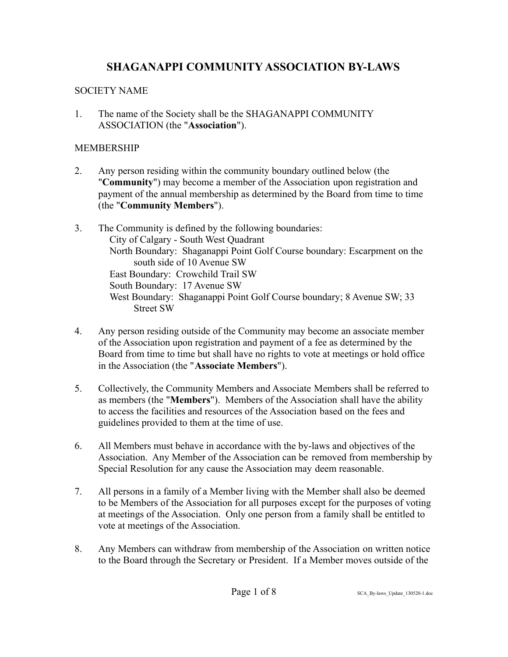#### SOCIETY NAME

1. The name of the Society shall be the SHAGANAPPI COMMUNITY ASSOCIATION (the "**Association**").

### MEMBERSHIP

- 2. Any person residing within the community boundary outlined below (the "**Community**") may become a member of the Association upon registration and payment of the annual membership as determined by the Board from time to time (the "**Community Members**").
- 3. The Community is defined by the following boundaries: City of Calgary - South West Quadrant North Boundary: Shaganappi Point Golf Course boundary: Escarpment on the south side of 10 Avenue SW East Boundary: Crowchild Trail SW South Boundary: 17 Avenue SW West Boundary: Shaganappi Point Golf Course boundary; 8 Avenue SW; 33 Street SW
- 4. Any person residing outside of the Community may become an associate member of the Association upon registration and payment of a fee as determined by the Board from time to time but shall have no rights to vote at meetings or hold office in the Association (the "**Associate Members**").
- 5. Collectively, the Community Members and Associate Members shall be referred to as members (the "**Members**"). Members of the Association shall have the ability to access the facilities and resources of the Association based on the fees and guidelines provided to them at the time of use.
- 6. All Members must behave in accordance with the by-laws and objectives of the Association. Any Member of the Association can be removed from membership by Special Resolution for any cause the Association may deem reasonable.
- 7. All persons in a family of a Member living with the Member shall also be deemed to be Members of the Association for all purposes except for the purposes of voting at meetings of the Association. Only one person from a family shall be entitled to vote at meetings of the Association.
- 8. Any Members can withdraw from membership of the Association on written notice to the Board through the Secretary or President. If a Member moves outside of the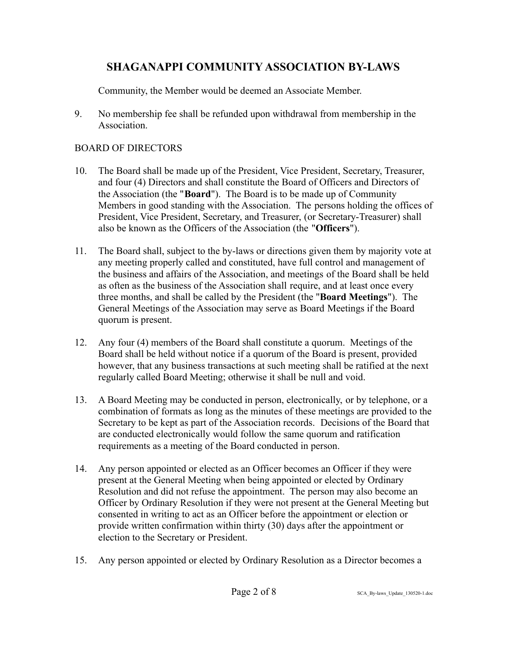Community, the Member would be deemed an Associate Member.

9. No membership fee shall be refunded upon withdrawal from membership in the **Association** 

### BOARD OF DIRECTORS

- 10. The Board shall be made up of the President, Vice President, Secretary, Treasurer, and four (4) Directors and shall constitute the Board of Officers and Directors of the Association (the "**Board**"). The Board is to be made up of Community Members in good standing with the Association. The persons holding the offices of President, Vice President, Secretary, and Treasurer, (or Secretary-Treasurer) shall also be known as the Officers of the Association (the "**Officers**").
- 11. The Board shall, subject to the by-laws or directions given them by majority vote at any meeting properly called and constituted, have full control and management of the business and affairs of the Association, and meetings of the Board shall be held as often as the business of the Association shall require, and at least once every three months, and shall be called by the President (the "**Board Meetings**"). The General Meetings of the Association may serve as Board Meetings if the Board quorum is present.
- 12. Any four (4) members of the Board shall constitute a quorum. Meetings of the Board shall be held without notice if a quorum of the Board is present, provided however, that any business transactions at such meeting shall be ratified at the next regularly called Board Meeting; otherwise it shall be null and void.
- 13. A Board Meeting may be conducted in person, electronically, or by telephone, or a combination of formats as long as the minutes of these meetings are provided to the Secretary to be kept as part of the Association records. Decisions of the Board that are conducted electronically would follow the same quorum and ratification requirements as a meeting of the Board conducted in person.
- 14. Any person appointed or elected as an Officer becomes an Officer if they were present at the General Meeting when being appointed or elected by Ordinary Resolution and did not refuse the appointment. The person may also become an Officer by Ordinary Resolution if they were not present at the General Meeting but consented in writing to act as an Officer before the appointment or election or provide written confirmation within thirty (30) days after the appointment or election to the Secretary or President.
- 15. Any person appointed or elected by Ordinary Resolution as a Director becomes a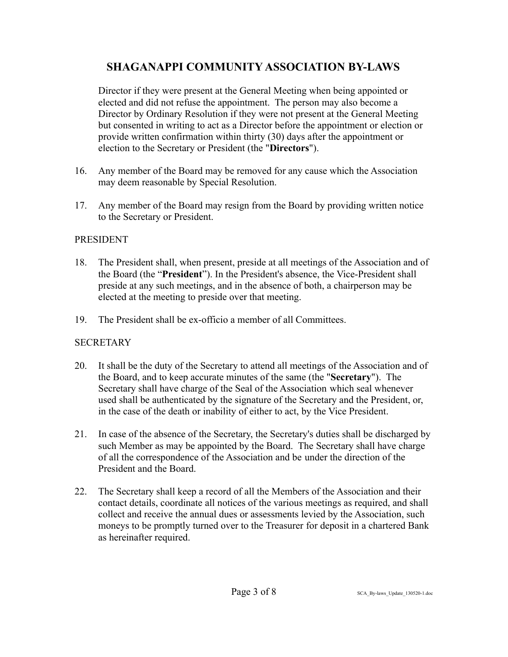Director if they were present at the General Meeting when being appointed or elected and did not refuse the appointment. The person may also become a Director by Ordinary Resolution if they were not present at the General Meeting but consented in writing to act as a Director before the appointment or election or provide written confirmation within thirty (30) days after the appointment or election to the Secretary or President (the "**Directors**").

- 16. Any member of the Board may be removed for any cause which the Association may deem reasonable by Special Resolution.
- 17. Any member of the Board may resign from the Board by providing written notice to the Secretary or President.

#### PRESIDENT

- 18. The President shall, when present, preside at all meetings of the Association and of the Board (the "**President**"). In the President's absence, the Vice-President shall preside at any such meetings, and in the absence of both, a chairperson may be elected at the meeting to preside over that meeting.
- 19. The President shall be ex-officio a member of all Committees.

### **SECRETARY**

- 20. It shall be the duty of the Secretary to attend all meetings of the Association and of the Board, and to keep accurate minutes of the same (the "**Secretary**"). The Secretary shall have charge of the Seal of the Association which seal whenever used shall be authenticated by the signature of the Secretary and the President, or, in the case of the death or inability of either to act, by the Vice President.
- 21. In case of the absence of the Secretary, the Secretary's duties shall be discharged by such Member as may be appointed by the Board. The Secretary shall have charge of all the correspondence of the Association and be under the direction of the President and the Board.
- 22. The Secretary shall keep a record of all the Members of the Association and their contact details, coordinate all notices of the various meetings as required, and shall collect and receive the annual dues or assessments levied by the Association, such moneys to be promptly turned over to the Treasurer for deposit in a chartered Bank as hereinafter required.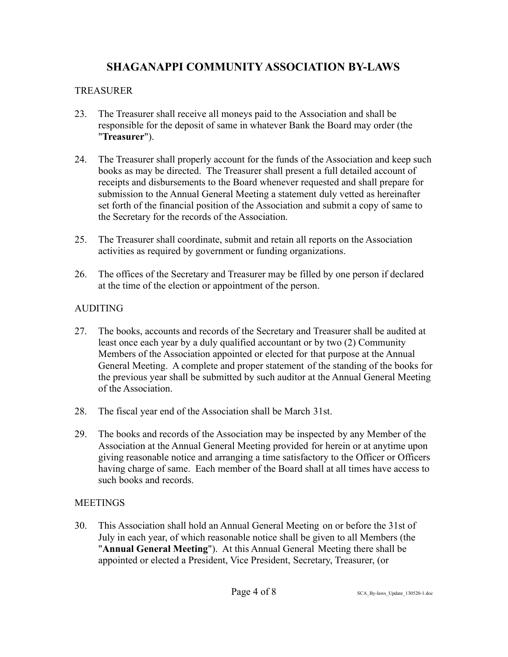### TREASURER

- 23. The Treasurer shall receive all moneys paid to the Association and shall be responsible for the deposit of same in whatever Bank the Board may order (the "**Treasurer**").
- 24. The Treasurer shall properly account for the funds of the Association and keep such books as may be directed. The Treasurer shall present a full detailed account of receipts and disbursements to the Board whenever requested and shall prepare for submission to the Annual General Meeting a statement duly vetted as hereinafter set forth of the financial position of the Association and submit a copy of same to the Secretary for the records of the Association.
- 25. The Treasurer shall coordinate, submit and retain all reports on the Association activities as required by government or funding organizations.
- 26. The offices of the Secretary and Treasurer may be filled by one person if declared at the time of the election or appointment of the person.

## AUDITING

- 27. The books, accounts and records of the Secretary and Treasurer shall be audited at least once each year by a duly qualified accountant or by two (2) Community Members of the Association appointed or elected for that purpose at the Annual General Meeting. A complete and proper statement of the standing of the books for the previous year shall be submitted by such auditor at the Annual General Meeting of the Association.
- 28. The fiscal year end of the Association shall be March 31st.
- 29. The books and records of the Association may be inspected by any Member of the Association at the Annual General Meeting provided for herein or at anytime upon giving reasonable notice and arranging a time satisfactory to the Officer or Officers having charge of same. Each member of the Board shall at all times have access to such books and records.

## **MEETINGS**

30. This Association shall hold an Annual General Meeting on or before the 31st of July in each year, of which reasonable notice shall be given to all Members (the "**Annual General Meeting**"). At this Annual General Meeting there shall be appointed or elected a President, Vice President, Secretary, Treasurer, (or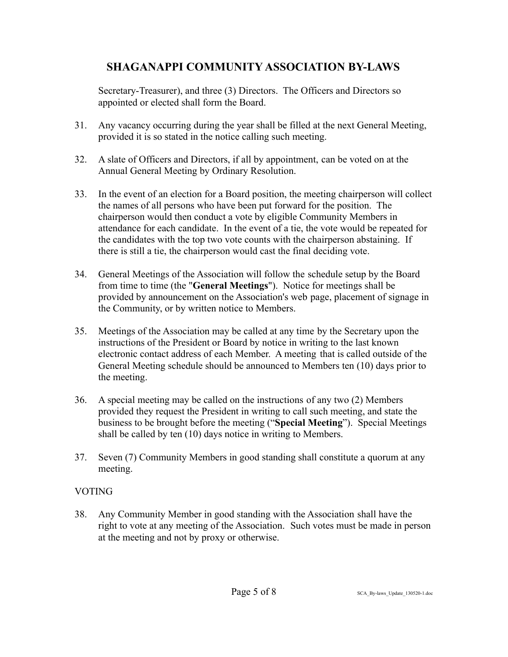Secretary-Treasurer), and three (3) Directors. The Officers and Directors so appointed or elected shall form the Board.

- 31. Any vacancy occurring during the year shall be filled at the next General Meeting, provided it is so stated in the notice calling such meeting.
- 32. A slate of Officers and Directors, if all by appointment, can be voted on at the Annual General Meeting by Ordinary Resolution.
- 33. In the event of an election for a Board position, the meeting chairperson will collect the names of all persons who have been put forward for the position. The chairperson would then conduct a vote by eligible Community Members in attendance for each candidate. In the event of a tie, the vote would be repeated for the candidates with the top two vote counts with the chairperson abstaining. If there is still a tie, the chairperson would cast the final deciding vote.
- 34. General Meetings of the Association will follow the schedule setup by the Board from time to time (the "**General Meetings**"). Notice for meetings shall be provided by announcement on the Association's web page, placement of signage in the Community, or by written notice to Members.
- 35. Meetings of the Association may be called at any time by the Secretary upon the instructions of the President or Board by notice in writing to the last known electronic contact address of each Member. A meeting that is called outside of the General Meeting schedule should be announced to Members ten (10) days prior to the meeting.
- 36. A special meeting may be called on the instructions of any two (2) Members provided they request the President in writing to call such meeting, and state the business to be brought before the meeting ("**Special Meeting**"). Special Meetings shall be called by ten (10) days notice in writing to Members.
- 37. Seven (7) Community Members in good standing shall constitute a quorum at any meeting.

### VOTING

38. Any Community Member in good standing with the Association shall have the right to vote at any meeting of the Association. Such votes must be made in person at the meeting and not by proxy or otherwise.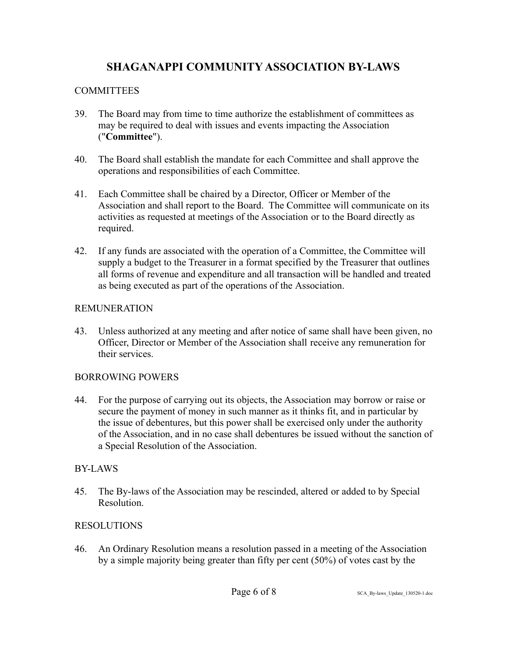### COMMITTEES

- 39. The Board may from time to time authorize the establishment of committees as may be required to deal with issues and events impacting the Association ("**Committee**").
- 40. The Board shall establish the mandate for each Committee and shall approve the operations and responsibilities of each Committee.
- 41. Each Committee shall be chaired by a Director, Officer or Member of the Association and shall report to the Board. The Committee will communicate on its activities as requested at meetings of the Association or to the Board directly as required.
- 42. If any funds are associated with the operation of a Committee, the Committee will supply a budget to the Treasurer in a format specified by the Treasurer that outlines all forms of revenue and expenditure and all transaction will be handled and treated as being executed as part of the operations of the Association.

### REMUNERATION

43. Unless authorized at any meeting and after notice of same shall have been given, no Officer, Director or Member of the Association shall receive any remuneration for their services.

### BORROWING POWERS

44. For the purpose of carrying out its objects, the Association may borrow or raise or secure the payment of money in such manner as it thinks fit, and in particular by the issue of debentures, but this power shall be exercised only under the authority of the Association, and in no case shall debentures be issued without the sanction of a Special Resolution of the Association.

## BY-LAWS

45. The By-laws of the Association may be rescinded, altered or added to by Special Resolution.

## RESOLUTIONS

46. An Ordinary Resolution means a resolution passed in a meeting of the Association by a simple majority being greater than fifty per cent (50%) of votes cast by the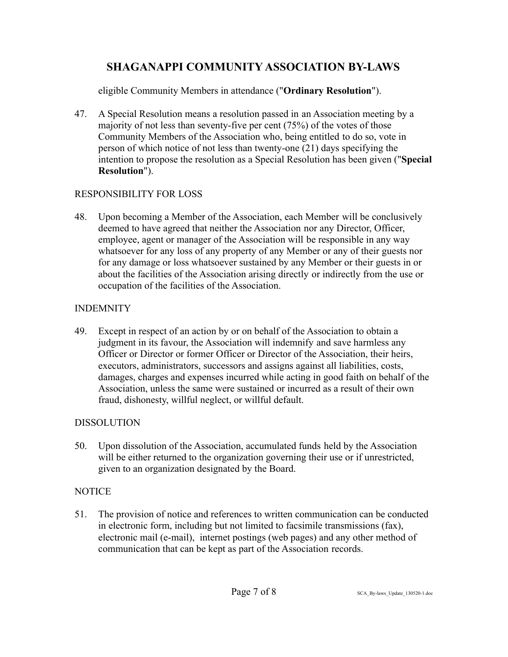eligible Community Members in attendance ("**Ordinary Resolution**").

47. A Special Resolution means a resolution passed in an Association meeting by a majority of not less than seventy-five per cent (75%) of the votes of those Community Members of the Association who, being entitled to do so, vote in person of which notice of not less than twenty-one (21) days specifying the intention to propose the resolution as a Special Resolution has been given ("**Special Resolution**").

### RESPONSIBILITY FOR LOSS

48. Upon becoming a Member of the Association, each Member will be conclusively deemed to have agreed that neither the Association nor any Director, Officer, employee, agent or manager of the Association will be responsible in any way whatsoever for any loss of any property of any Member or any of their guests nor for any damage or loss whatsoever sustained by any Member or their guests in or about the facilities of the Association arising directly or indirectly from the use or occupation of the facilities of the Association.

## INDEMNITY

49. Except in respect of an action by or on behalf of the Association to obtain a judgment in its favour, the Association will indemnify and save harmless any Officer or Director or former Officer or Director of the Association, their heirs, executors, administrators, successors and assigns against all liabilities, costs, damages, charges and expenses incurred while acting in good faith on behalf of the Association, unless the same were sustained or incurred as a result of their own fraud, dishonesty, willful neglect, or willful default.

## DISSOLUTION

50. Upon dissolution of the Association, accumulated funds held by the Association will be either returned to the organization governing their use or if unrestricted, given to an organization designated by the Board.

## **NOTICE**

51. The provision of notice and references to written communication can be conducted in electronic form, including but not limited to facsimile transmissions (fax), electronic mail (e-mail), internet postings (web pages) and any other method of communication that can be kept as part of the Association records.